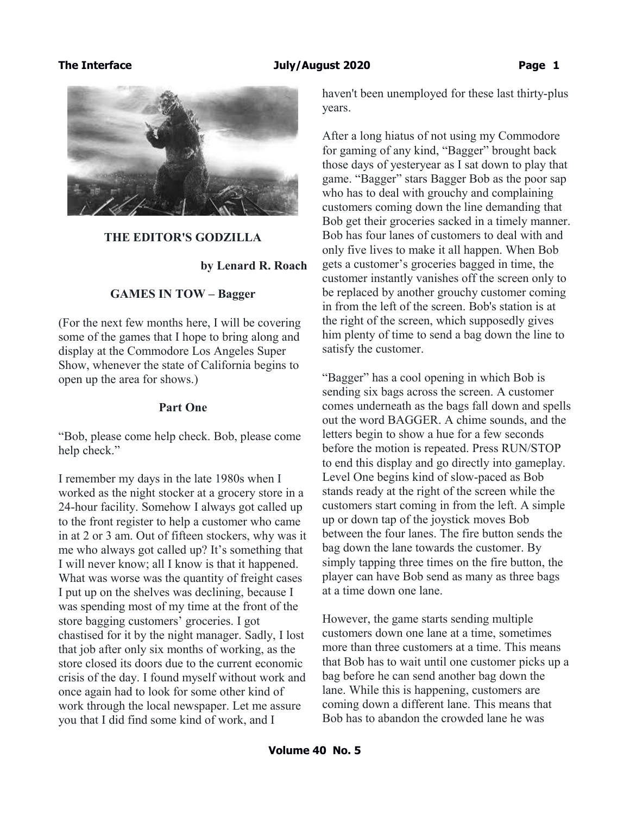

### **THE EDITOR'S GODZILLA**

### **by Lenard R. Roach**

## **GAMES IN TOW – Bagger**

(For the next few months here, I will be covering some of the games that I hope to bring along and display at the Commodore Los Angeles Super Show, whenever the state of California begins to open up the area for shows.)

### **Part One**

"Bob, please come help check. Bob, please come help check."

I remember my days in the late 1980s when I worked as the night stocker at a grocery store in a 24-hour facility. Somehow I always got called up to the front register to help a customer who came in at 2 or 3 am. Out of fifteen stockers, why was it me who always got called up? It's something that I will never know; all I know is that it happened. What was worse was the quantity of freight cases I put up on the shelves was declining, because I was spending most of my time at the front of the store bagging customers' groceries. I got chastised for it by the night manager. Sadly, I lost that job after only six months of working, as the store closed its doors due to the current economic crisis of the day. I found myself without work and once again had to look for some other kind of work through the local newspaper. Let me assure you that I did find some kind of work, and I

haven't been unemployed for these last thirty-plus years.

After a long hiatus of not using my Commodore for gaming of any kind, "Bagger" brought back those days of yesteryear as I sat down to play that game. "Bagger" stars Bagger Bob as the poor sap who has to deal with grouchy and complaining customers coming down the line demanding that Bob get their groceries sacked in a timely manner. Bob has four lanes of customers to deal with and only five lives to make it all happen. When Bob gets a customer's groceries bagged in time, the customer instantly vanishes off the screen only to be replaced by another grouchy customer coming in from the left of the screen. Bob's station is at the right of the screen, which supposedly gives him plenty of time to send a bag down the line to satisfy the customer.

"Bagger" has a cool opening in which Bob is sending six bags across the screen. A customer comes underneath as the bags fall down and spells out the word BAGGER. A chime sounds, and the letters begin to show a hue for a few seconds before the motion is repeated. Press RUN/STOP to end this display and go directly into gameplay. Level One begins kind of slow-paced as Bob stands ready at the right of the screen while the customers start coming in from the left. A simple up or down tap of the joystick moves Bob between the four lanes. The fire button sends the bag down the lane towards the customer. By simply tapping three times on the fire button, the player can have Bob send as many as three bags at a time down one lane.

However, the game starts sending multiple customers down one lane at a time, sometimes more than three customers at a time. This means that Bob has to wait until one customer picks up a bag before he can send another bag down the lane. While this is happening, customers are coming down a different lane. This means that Bob has to abandon the crowded lane he was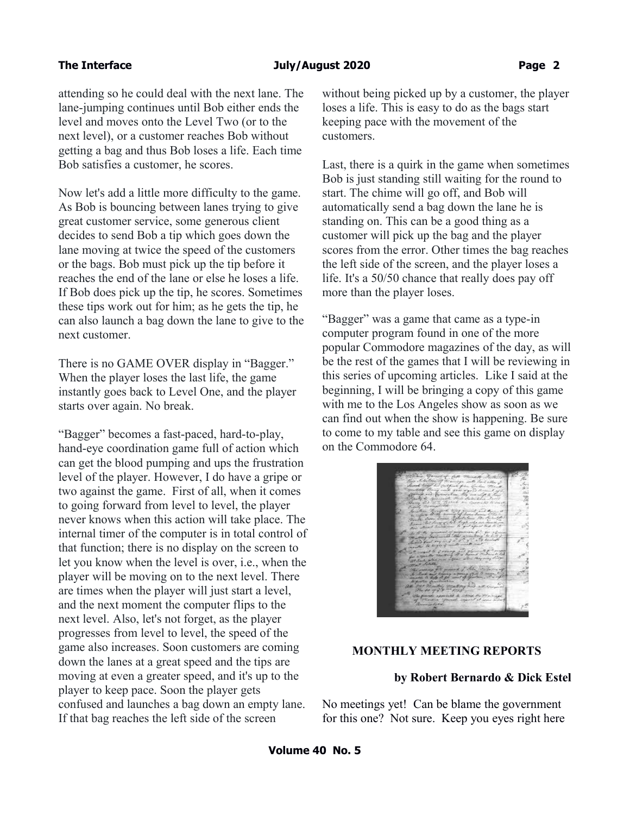attending so he could deal with the next lane. The lane-jumping continues until Bob either ends the level and moves onto the Level Two (or to the next level), or a customer reaches Bob without getting a bag and thus Bob loses a life. Each time Bob satisfies a customer, he scores.

Now let's add a little more difficulty to the game. As Bob is bouncing between lanes trying to give great customer service, some generous client decides to send Bob a tip which goes down the lane moving at twice the speed of the customers or the bags. Bob must pick up the tip before it reaches the end of the lane or else he loses a life. If Bob does pick up the tip, he scores. Sometimes these tips work out for him; as he gets the tip, he can also launch a bag down the lane to give to the next customer.

There is no GAME OVER display in "Bagger." When the player loses the last life, the game instantly goes back to Level One, and the player starts over again. No break.

"Bagger" becomes a fast-paced, hard-to-play, hand-eye coordination game full of action which can get the blood pumping and ups the frustration level of the player. However, I do have a gripe or two against the game. First of all, when it comes to going forward from level to level, the player never knows when this action will take place. The internal timer of the computer is in total control of that function; there is no display on the screen to let you know when the level is over, i.e., when the player will be moving on to the next level. There are times when the player will just start a level, and the next moment the computer flips to the next level. Also, let's not forget, as the player progresses from level to level, the speed of the game also increases. Soon customers are coming down the lanes at a great speed and the tips are moving at even a greater speed, and it's up to the player to keep pace. Soon the player gets confused and launches a bag down an empty lane. If that bag reaches the left side of the screen

without being picked up by a customer, the player loses a life. This is easy to do as the bags start keeping pace with the movement of the customers.

Last, there is a quirk in the game when sometimes Bob is just standing still waiting for the round to start. The chime will go off, and Bob will automatically send a bag down the lane he is standing on. This can be a good thing as a customer will pick up the bag and the player scores from the error. Other times the bag reaches the left side of the screen, and the player loses a life. It's a 50/50 chance that really does pay off more than the player loses.

"Bagger" was a game that came as a type-in computer program found in one of the more popular Commodore magazines of the day, as will be the rest of the games that I will be reviewing in this series of upcoming articles. Like I said at the beginning, I will be bringing a copy of this game with me to the Los Angeles show as soon as we can find out when the show is happening. Be sure to come to my table and see this game on display on the Commodore 64.

## **MONTHLY MEETING REPORTS**

# **by Robert Bernardo & Dick Estel**

No meetings yet! Can be blame the government for this one? Not sure. Keep you eyes right here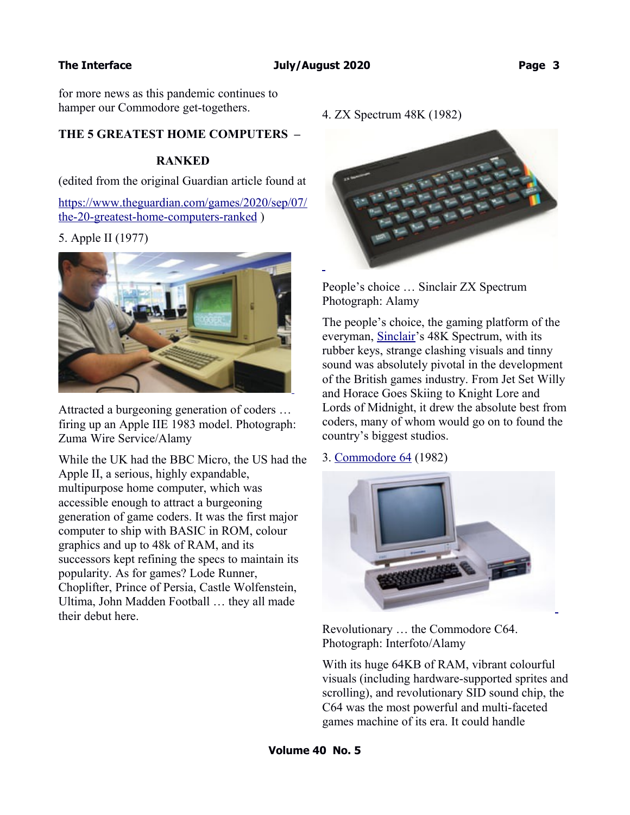for more news as this pandemic continues to hamper our Commodore get-togethers.

# **THE 5 GREATEST HOME COMPUTERS –**

## **RANKED**

(edited from the original Guardian article found at

[https://www.theguardian.com/games/2020/sep/07/](https://www.theguardian.com/games/2020/sep/07/the-20-greatest-home-computers-ranked) [the-20-greatest-home-computers-ranked](https://www.theguardian.com/games/2020/sep/07/the-20-greatest-home-computers-ranked) )

5. Apple II (1977)



Attracted a burgeoning generation of coders … firing up an Apple IIE 1983 model. Photograph: Zuma Wire Service/Alamy

While the UK had the BBC Micro, the US had the Apple II, a serious, highly expandable, multipurpose home computer, which was accessible enough to attract a burgeoning generation of game coders. It was the first major computer to ship with BASIC in ROM, colour graphics and up to 48k of RAM, and its successors kept refining the specs to maintain its popularity. As for games? Lode Runner, Choplifter, Prince of Persia, Castle Wolfenstein, Ultima, John Madden Football … they all made their debut here.

4. ZX Spectrum 48K (1982)



People's choice … Sinclair ZX Spectrum Photograph: Alamy

The people's choice, the gaming platform of the everyman, [Sinclair'](https://www.theguardian.com/technology/clive-sinclair)s 48K Spectrum, with its rubber keys, strange clashing visuals and tinny sound was absolutely pivotal in the development of the British games industry. From Jet Set Willy and Horace Goes Skiing to Knight Lore and Lords of Midnight, it drew the absolute best from coders, many of whom would go on to found the country's biggest studios.

### 3. [Commodore 64](https://www.theguardian.com/games/2019/dec/19/the-c64-review-precise-replica-80s-gaming) (1982)



Revolutionary … the Commodore C64. Photograph: Interfoto/Alamy

With its huge 64KB of RAM, vibrant colourful visuals (including hardware-supported sprites and scrolling), and revolutionary SID sound chip, the C64 was the most powerful and multi-faceted games machine of its era. It could handle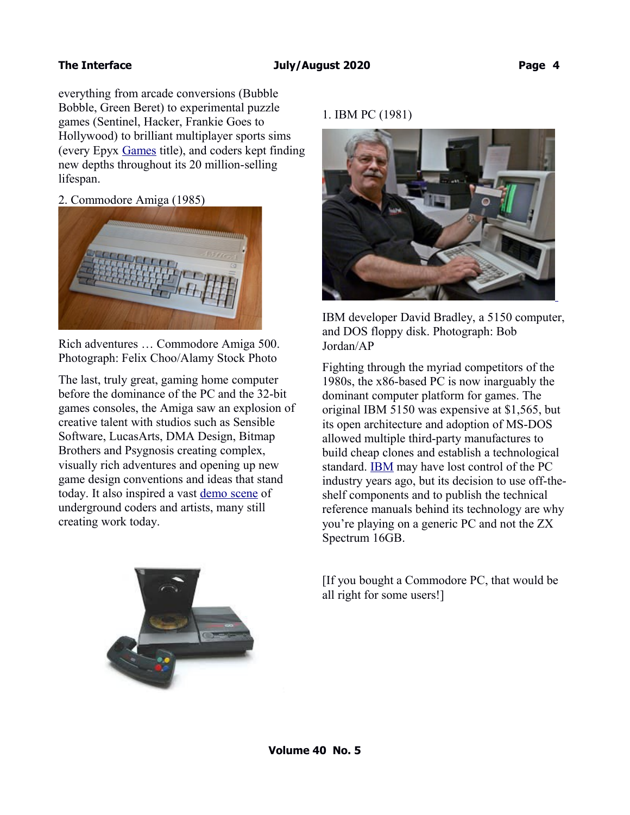everything from arcade conversions (Bubble Bobble, Green Beret) to experimental puzzle games (Sentinel, Hacker, Frankie Goes to Hollywood) to brilliant multiplayer sports sims (every Epyx [Games](https://www.theguardian.com/games) title), and coders kept finding new depths throughout its 20 million-selling lifespan.

2. Commodore Amiga (1985)



Rich adventures … Commodore Amiga 500. Photograph: Felix Choo/Alamy Stock Photo

The last, truly great, gaming home computer before the dominance of the PC and the 32-bit games consoles, the Amiga saw an explosion of creative talent with studios such as Sensible Software, LucasArts, DMA Design, Bitmap Brothers and Psygnosis creating complex, visually rich adventures and opening up new game design conventions and ideas that stand today. It also inspired a vast [demo scene](https://ada.untergrund.net/) of underground coders and artists, many still creating work today.

# 1. IBM PC (1981)



IBM developer David Bradley, a 5150 computer, and DOS floppy disk. Photograph: Bob Jordan/AP

Fighting through the myriad competitors of the 1980s, the x86-based PC is now inarguably the dominant computer platform for games. The original IBM 5150 was expensive at \$1,565, but its open architecture and adoption of MS-DOS allowed multiple third-party manufactures to build cheap clones and establish a technological standard. [IBM](https://www.theguardian.com/technology/ibm) may have lost control of the PC industry years ago, but its decision to use off-theshelf components and to publish the technical reference manuals behind its technology are why you're playing on a generic PC and not the ZX Spectrum 16GB.

[If you bought a Commodore PC, that would be all right for some users!]

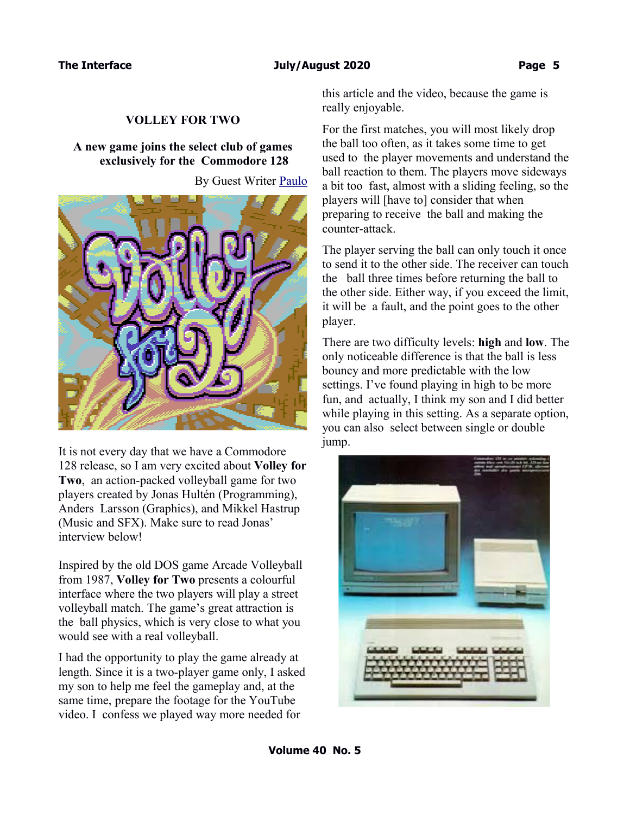# **VOLLEY FOR TWO**

# **A new game joins the select club of games exclusively for the Commodore 128**

By Guest Writer [Paulo](https://vintageisthenewold.com/author/pgarcia_3071-v/)



It is not every day that we have a Commodore 128 release, so I am very excited about **Volley for Two**, an action-packed volleyball game for two players created by Jonas Hultén (Programming), Anders Larsson (Graphics), and Mikkel Hastrup (Music and SFX). Make sure to read Jonas' interview below!

Inspired by the old DOS game Arcade Volleyball from 1987, **Volley for Two** presents a colourful interface where the two players will play a street volleyball match. The game's great attraction is the ball physics, which is very close to what you would see with a real volleyball.

I had the opportunity to play the game already at length. Since it is a two-player game only, I asked my son to help me feel the gameplay and, at the same time, prepare the footage for the YouTube video. I confess we played way more needed for

this article and the video, because the game is really enjoyable.

For the first matches, you will most likely drop the ball too often, as it takes some time to get used to the player movements and understand the ball reaction to them. The players move sideways a bit too fast, almost with a sliding feeling, so the players will [have to] consider that when preparing to receive the ball and making the counter-attack.

The player serving the ball can only touch it once to send it to the other side. The receiver can touch the ball three times before returning the ball to the other side. Either way, if you exceed the limit, it will be a fault, and the point goes to the other player.

There are two difficulty levels: **high** and **low**. The only noticeable difference is that the ball is less bouncy and more predictable with the low settings. I've found playing in high to be more fun, and actually, I think my son and I did better while playing in this setting. As a separate option, you can also select between single or double jump.

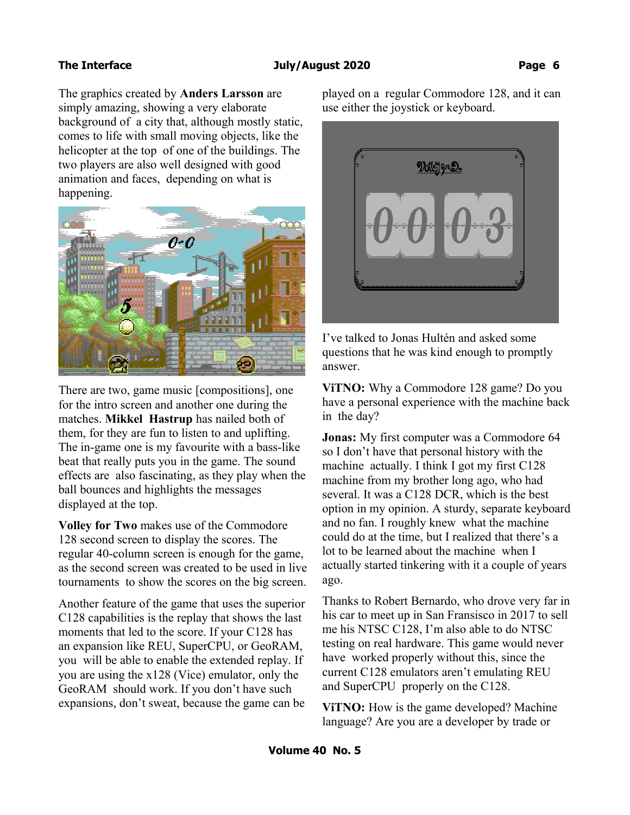The graphics created by **Anders Larsson** are simply amazing, showing a very elaborate background of a city that, although mostly static, comes to life with small moving objects, like the helicopter at the top of one of the buildings. The two players are also well designed with good animation and faces, depending on what is happening.



There are two, game music [compositions], one for the intro screen and another one during the matches. **Mikkel Hastrup** has nailed both of them, for they are fun to listen to and uplifting. The in-game one is my favourite with a bass-like beat that really puts you in the game. The sound effects are also fascinating, as they play when the ball bounces and highlights the messages displayed at the top.

**Volley for Two** makes use of the Commodore 128 second screen to display the scores. The regular 40-column screen is enough for the game, as the second screen was created to be used in live tournaments to show the scores on the big screen.

Another feature of the game that uses the superior C128 capabilities is the replay that shows the last moments that led to the score. If your C128 has an expansion like REU, SuperCPU, or GeoRAM, you will be able to enable the extended replay. If you are using the x128 (Vice) emulator, only the GeoRAM should work. If you don't have such expansions, don't sweat, because the game can be played on a regular Commodore 128, and it can use either the joystick or keyboard.



I've talked to Jonas Hultén and asked some questions that he was kind enough to promptly answer.

**ViTNO:** Why a Commodore 128 game? Do you have a personal experience with the machine back in the day?

**Jonas:** My first computer was a Commodore 64 so I don't have that personal history with the machine actually. I think I got my first C128 machine from my brother long ago, who had several. It was a C128 DCR, which is the best option in my opinion. A sturdy, separate keyboard and no fan. I roughly knew what the machine could do at the time, but I realized that there's a lot to be learned about the machine when I actually started tinkering with it a couple of years ago.

Thanks to Robert Bernardo, who drove very far in his car to meet up in San Fransisco in 2017 to sell me his NTSC C128, I'm also able to do NTSC testing on real hardware. This game would never have worked properly without this, since the current C128 emulators aren't emulating REU and SuperCPU properly on the C128.

**ViTNO:** How is the game developed? Machine language? Are you are a developer by trade or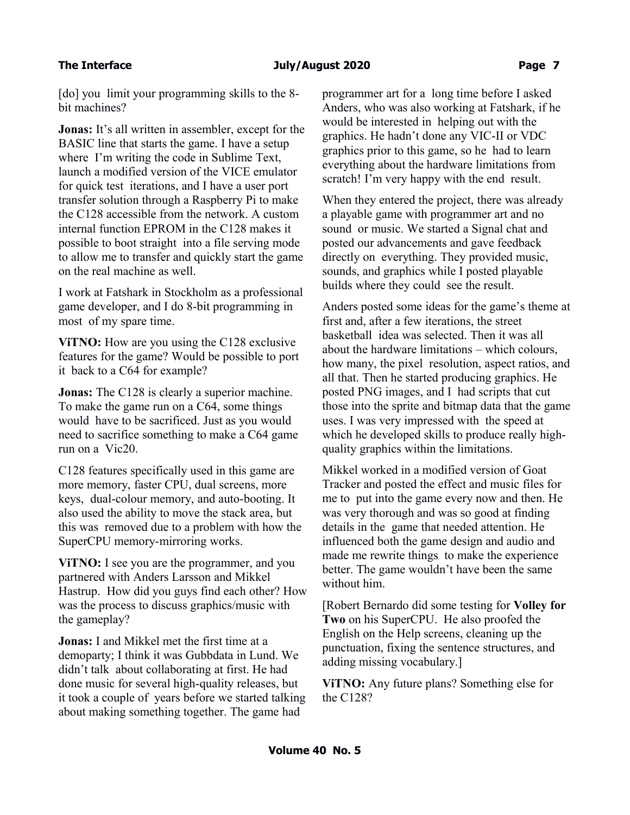[do] you limit your programming skills to the 8bit machines?

**Jonas:** It's all written in assembler, except for the BASIC line that starts the game. I have a setup where I'm writing the code in Sublime Text, launch a modified version of the VICE emulator for quick test iterations, and I have a user port transfer solution through a Raspberry Pi to make the C128 accessible from the network. A custom internal function EPROM in the C128 makes it possible to boot straight into a file serving mode to allow me to transfer and quickly start the game on the real machine as well.

I work at Fatshark in Stockholm as a professional game developer, and I do 8-bit programming in most of my spare time.

**ViTNO:** How are you using the C128 exclusive features for the game? Would be possible to port it back to a C64 for example?

**Jonas:** The C128 is clearly a superior machine. To make the game run on a C64, some things would have to be sacrificed. Just as you would need to sacrifice something to make a C64 game run on a Vic20.

C128 features specifically used in this game are more memory, faster CPU, dual screens, more keys, dual-colour memory, and auto-booting. It also used the ability to move the stack area, but this was removed due to a problem with how the SuperCPU memory-mirroring works.

**ViTNO:** I see you are the programmer, and you partnered with Anders Larsson and Mikkel Hastrup. How did you guys find each other? How was the process to discuss graphics/music with the gameplay?

**Jonas:** I and Mikkel met the first time at a demoparty; I think it was Gubbdata in Lund. We didn't talk about collaborating at first. He had done music for several high-quality releases, but it took a couple of years before we started talking about making something together. The game had

programmer art for a long time before I asked Anders, who was also working at Fatshark, if he would be interested in helping out with the graphics. He hadn't done any VIC-II or VDC graphics prior to this game, so he had to learn everything about the hardware limitations from scratch! I'm very happy with the end result.

When they entered the project, there was already a playable game with programmer art and no sound or music. We started a Signal chat and posted our advancements and gave feedback directly on everything. They provided music, sounds, and graphics while I posted playable builds where they could see the result.

Anders posted some ideas for the game's theme at first and, after a few iterations, the street basketball idea was selected. Then it was all about the hardware limitations – which colours, how many, the pixel resolution, aspect ratios, and all that. Then he started producing graphics. He posted PNG images, and I had scripts that cut those into the sprite and bitmap data that the game uses. I was very impressed with the speed at which he developed skills to produce really highquality graphics within the limitations.

Mikkel worked in a modified version of Goat Tracker and posted the effect and music files for me to put into the game every now and then. He was very thorough and was so good at finding details in the game that needed attention. He influenced both the game design and audio and made me rewrite things to make the experience better. The game wouldn't have been the same without him.

[Robert Bernardo did some testing for **Volley for Two** on his SuperCPU. He also proofed the English on the Help screens, cleaning up the punctuation, fixing the sentence structures, and adding missing vocabulary.]

**ViTNO:** Any future plans? Something else for the C128?